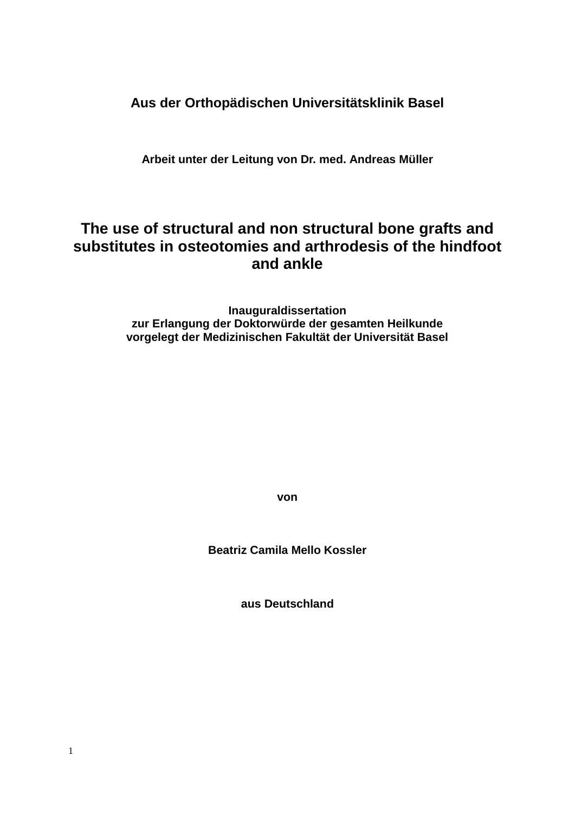**Aus der Orthopädischen Universitätsklinik Basel**

**Arbeit unter der Leitung von Dr. med. Andreas Müller**

# **The use of structural and non structural bone grafts and substitutes in osteotomies and arthrodesis of the hindfoot and ankle**

**Inauguraldissertation zur Erlangung der Doktorwürde der gesamten Heilkunde vorgelegt der Medizinischen Fakultät der Universität Basel**

**von**

**Beatriz Camila Mello Kossler**

**aus Deutschland**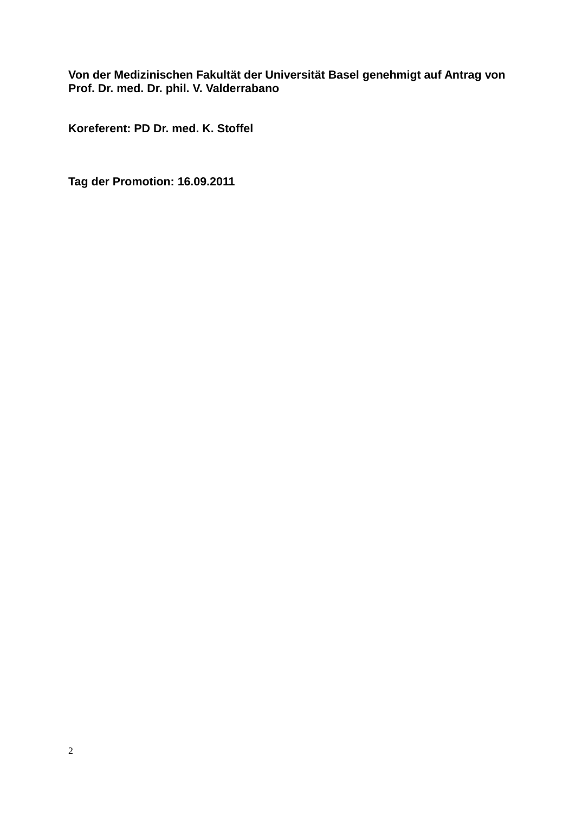### **Von der Medizinischen Fakultät der Universität Basel genehmigt auf Antrag von Prof. Dr. med. Dr. phil. V. Valderrabano**

**Koreferent: PD Dr. med. K. Stoffel**

**Tag der Promotion: 16.09.2011**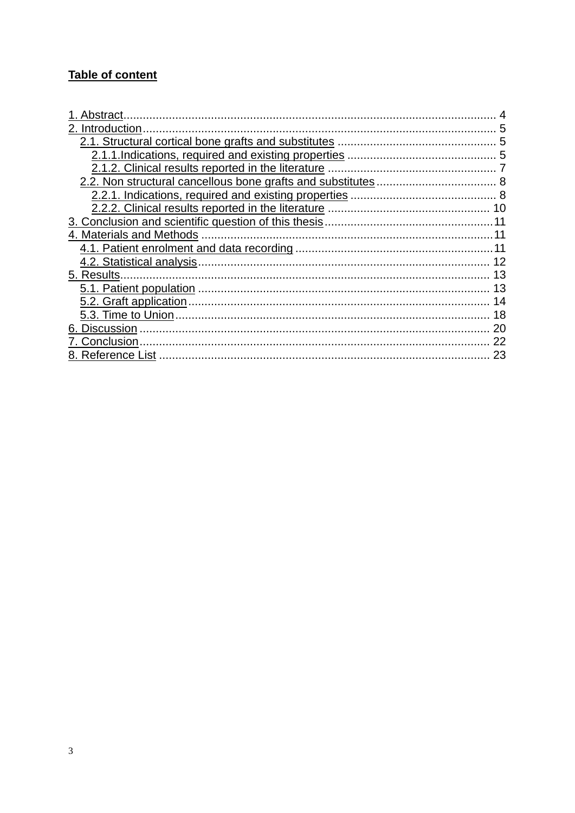# Table of content

| 1. Abstract                                        |    |
|----------------------------------------------------|----|
| 2. Introduction                                    |    |
|                                                    | 5  |
|                                                    |    |
|                                                    |    |
|                                                    |    |
|                                                    |    |
| 2.2.2. Clinical results reported in the literature |    |
|                                                    |    |
|                                                    |    |
|                                                    |    |
|                                                    |    |
| 5. Results.                                        |    |
|                                                    | 13 |
|                                                    | 14 |
|                                                    | 18 |
| 6. Discussion                                      | 20 |
| 7. Conclusion                                      | 22 |
| 8. Reference List                                  | 23 |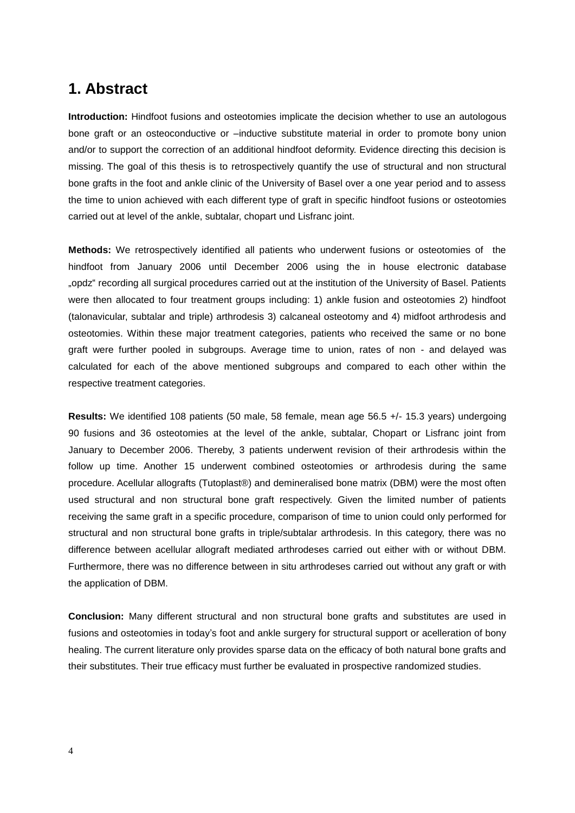## **1. Abstract**

**Introduction:** Hindfoot fusions and osteotomies implicate the decision whether to use an autologous bone graft or an osteoconductive or –inductive substitute material in order to promote bony union and/or to support the correction of an additional hindfoot deformity. Evidence directing this decision is missing. The goal of this thesis is to retrospectively quantify the use of structural and non structural bone grafts in the foot and ankle clinic of the University of Basel over a one year period and to assess the time to union achieved with each different type of graft in specific hindfoot fusions or osteotomies carried out at level of the ankle, subtalar, chopart und Lisfranc joint.

**Methods:** We retrospectively identified all patients who underwent fusions or osteotomies of the hindfoot from January 2006 until December 2006 using the in house electronic database "opdz" recording all surgical procedures carried out at the institution of the University of Basel. Patients were then allocated to four treatment groups including: 1) ankle fusion and osteotomies 2) hindfoot (talonavicular, subtalar and triple) arthrodesis 3) calcaneal osteotomy and 4) midfoot arthrodesis and osteotomies. Within these major treatment categories, patients who received the same or no bone graft were further pooled in subgroups. Average time to union, rates of non - and delayed was calculated for each of the above mentioned subgroups and compared to each other within the respective treatment categories.

**Results:** We identified 108 patients (50 male, 58 female, mean age 56.5 +/- 15.3 years) undergoing 90 fusions and 36 osteotomies at the level of the ankle, subtalar, Chopart or Lisfranc joint from January to December 2006. Thereby, 3 patients underwent revision of their arthrodesis within the follow up time. Another 15 underwent combined osteotomies or arthrodesis during the same procedure. Acellular allografts (Tutoplast®) and demineralised bone matrix (DBM) were the most often used structural and non structural bone graft respectively. Given the limited number of patients receiving the same graft in a specific procedure, comparison of time to union could only performed for structural and non structural bone grafts in triple/subtalar arthrodesis. In this category, there was no difference between acellular allograft mediated arthrodeses carried out either with or without DBM. Furthermore, there was no difference between in situ arthrodeses carried out without any graft or with the application of DBM.

**Conclusion:** Many different structural and non structural bone grafts and substitutes are used in fusions and osteotomies in today's foot and ankle surgery for structural support or acelleration of bony healing. The current literature only provides sparse data on the efficacy of both natural bone grafts and their substitutes. Their true efficacy must further be evaluated in prospective randomized studies.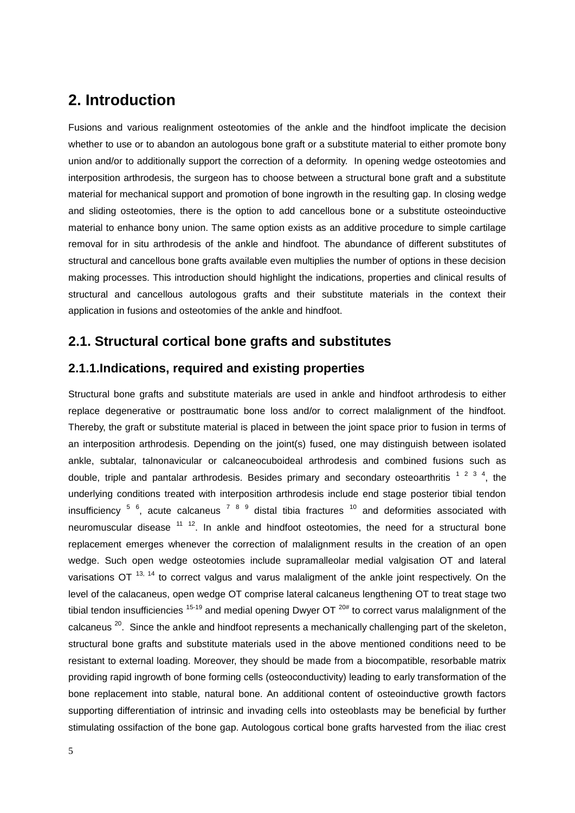## **2. Introduction**

Fusions and various realignment osteotomies of the ankle and the hindfoot implicate the decision whether to use or to abandon an autologous bone graft or a substitute material to either promote bony union and/or to additionally support the correction of a deformity. In opening wedge osteotomies and interposition arthrodesis, the surgeon has to choose between a structural bone graft and a substitute material for mechanical support and promotion of bone ingrowth in the resulting gap. In closing wedge and sliding osteotomies, there is the option to add cancellous bone or a substitute osteoinductive material to enhance bony union. The same option exists as an additive procedure to simple cartilage removal for in situ arthrodesis of the ankle and hindfoot. The abundance of different substitutes of structural and cancellous bone grafts available even multiplies the number of options in these decision making processes. This introduction should highlight the indications, properties and clinical results of structural and cancellous autologous grafts and their substitute materials in the context their application in fusions and osteotomies of the ankle and hindfoot.

## **2.1. Structural cortical bone grafts and substitutes**

### **2.1.1.Indications, required and existing properties**

Structural bone grafts and substitute materials are used in ankle and hindfoot arthrodesis to either replace degenerative or posttraumatic bone loss and/or to correct malalignment of the hindfoot. Thereby, the graft or substitute material is placed in between the joint space prior to fusion in terms of an interposition arthrodesis. Depending on the joint(s) fused, one may distinguish between isolated ankle, subtalar, talnonavicular or calcaneocuboideal arthrodesis and combined fusions such as double, triple and pantalar arthrodesis. Besides primary and secondary osteoarthritis  $1/2/3/4$ , the underlying conditions treated with interposition arthrodesis include end stage posterior tibial tendon insufficiency  $5\,$   $6$ , acute calcaneus  $7\,$   $8\,$   $9\,$  distal tibia fractures  $^{10}$  and deformities associated with neuromuscular disease  $11^{12}$ . In ankle and hindfoot osteotomies, the need for a structural bone replacement emerges whenever the correction of malalignment results in the creation of an open wedge. Such open wedge osteotomies include supramalleolar medial valgisation OT and lateral varisations OT  $^{13, 14}$  to correct valgus and varus malaligment of the ankle joint respectively. On the level of the calacaneus, open wedge OT comprise lateral calcaneus lengthening OT to treat stage two tibial tendon insufficiencies  $15-19$  and medial opening Dwyer OT  $20#$  to correct varus malalignment of the calcaneus  $^{20}$ . Since the ankle and hindfoot represents a mechanically challenging part of the skeleton, structural bone grafts and substitute materials used in the above mentioned conditions need to be resistant to external loading. Moreover, they should be made from a biocompatible, resorbable matrix providing rapid ingrowth of bone forming cells (osteoconductivity) leading to early transformation of the bone replacement into stable, natural bone. An additional content of osteoinductive growth factors supporting differentiation of intrinsic and invading cells into osteoblasts may be beneficial by further stimulating ossifaction of the bone gap. Autologous cortical bone grafts harvested from the iliac crest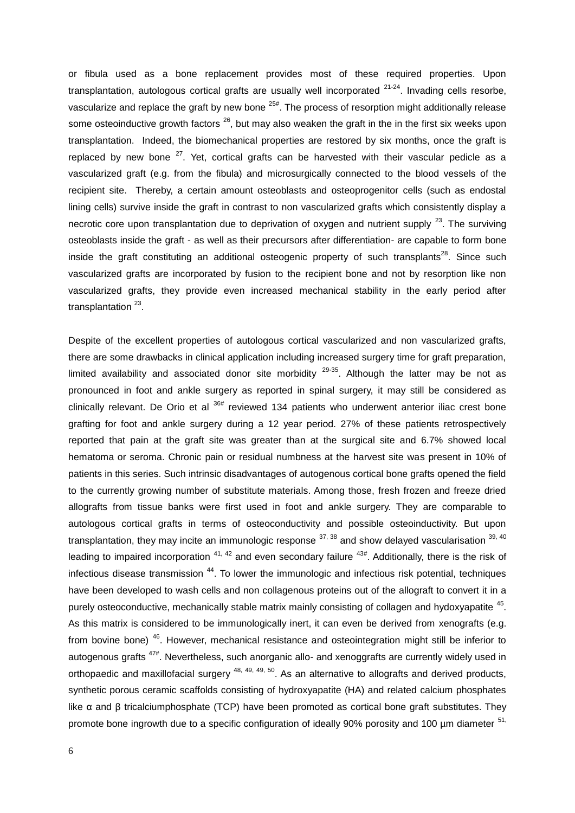or fibula used as a bone replacement provides most of these required properties. Upon transplantation, autologous cortical grafts are usually well incorporated  $21-24$ . Invading cells resorbe, vascularize and replace the graft by new bone <sup>25#</sup>. The process of resorption might additionally release some osteoinductive growth factors  $^{26}$ , but may also weaken the graft in the in the first six weeks upon transplantation. Indeed, the biomechanical properties are restored by six months, once the graft is replaced by new bone  $27$ . Yet, cortical grafts can be harvested with their vascular pedicle as a vascularized graft (e.g. from the fibula) and microsurgically connected to the blood vessels of the recipient site. Thereby, a certain amount osteoblasts and osteoprogenitor cells (such as endostal lining cells) survive inside the graft in contrast to non vascularized grafts which consistently display a necrotic core upon transplantation due to deprivation of oxygen and nutrient supply  $^{23}$ . The surviving osteoblasts inside the graft - as well as their precursors after differentiation- are capable to form bone inside the graft constituting an additional osteogenic property of such transplants<sup>28</sup>. Since such vascularized grafts are incorporated by fusion to the recipient bone and not by resorption like non vascularized grafts, they provide even increased mechanical stability in the early period after transplantation<sup>23</sup>.

Despite of the excellent properties of autologous cortical vascularized and non vascularized grafts, there are some drawbacks in clinical application including increased surgery time for graft preparation, limited availability and associated donor site morbidity  $29-35$ . Although the latter may be not as pronounced in foot and ankle surgery as reported in spinal surgery, it may still be considered as clinically relevant. De Orio et al  $36#$  reviewed 134 patients who underwent anterior iliac crest bone grafting for foot and ankle surgery during a 12 year period. 27% of these patients retrospectively reported that pain at the graft site was greater than at the surgical site and 6.7% showed local hematoma or seroma. Chronic pain or residual numbness at the harvest site was present in 10% of patients in this series. Such intrinsic disadvantages of autogenous cortical bone grafts opened the field to the currently growing number of substitute materials. Among those, fresh frozen and freeze dried allografts from tissue banks were first used in foot and ankle surgery. They are comparable to autologous cortical grafts in terms of osteoconductivity and possible osteoinductivity. But upon transplantation, they may incite an immunologic response  $37,38$  and show delayed vascularisation  $39,40$ leading to impaired incorporation  $41, 42$  and even secondary failure  $43#$ . Additionally, there is the risk of infectious disease transmission  $44$ . To lower the immunologic and infectious risk potential, techniques have been developed to wash cells and non collagenous proteins out of the allograft to convert it in a purely osteoconductive, mechanically stable matrix mainly consisting of collagen and hydoxyapatite <sup>45</sup>. As this matrix is considered to be immunologically inert, it can even be derived from xenografts (e.g. from bovine bone) <sup>46</sup>. However, mechanical resistance and osteointegration might still be inferior to autogenous grafts  $47#$ . Nevertheless, such anorganic allo- and xenoggrafts are currently widely used in orthopaedic and maxillofacial surgery <sup>48, 49, 49, 50</sup>. As an alternative to allografts and derived products, synthetic porous ceramic scaffolds consisting of hydroxyapatite (HA) and related calcium phosphates like α and β tricalciumphosphate (TCP) have been promoted as cortical bone graft substitutes. They promote bone ingrowth due to a specific configuration of ideally 90% porosity and 100 um diameter <sup>51,</sup>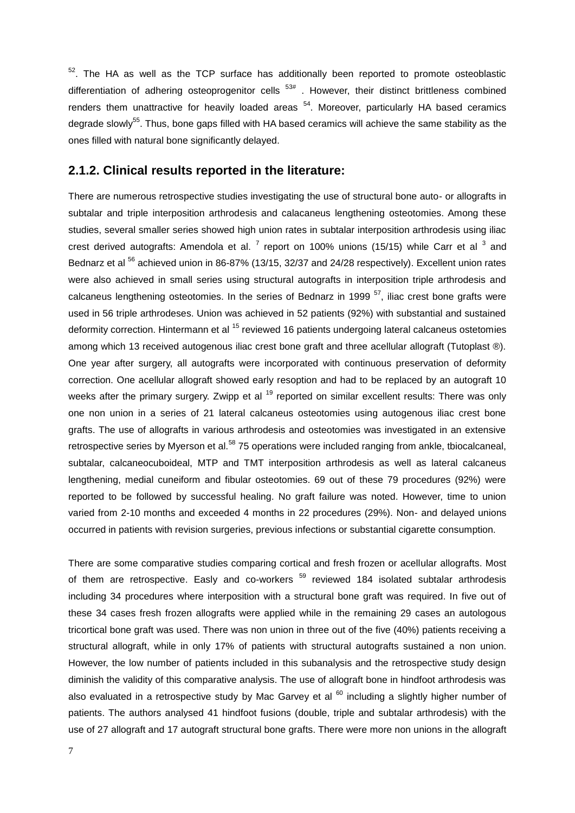$52$ . The HA as well as the TCP surface has additionally been reported to promote osteoblastic differentiation of adhering osteoprogenitor cells  $53#$ . However, their distinct brittleness combined renders them unattractive for heavily loaded areas <sup>54</sup>. Moreover, particularly HA based ceramics degrade slowly<sup>55</sup>. Thus, bone gaps filled with HA based ceramics will achieve the same stability as the ones filled with natural bone significantly delayed.

#### **2.1.2. Clinical results reported in the literature:**

There are numerous retrospective studies investigating the use of structural bone auto- or allografts in subtalar and triple interposition arthrodesis and calacaneus lengthening osteotomies. Among these studies, several smaller series showed high union rates in subtalar interposition arthrodesis using iliac crest derived autografts: Amendola et al.  $^7$  report on 100% unions (15/15) while Carr et al  $^3$  and Bednarz et al <sup>56</sup> achieved union in 86-87% (13/15, 32/37 and 24/28 respectively). Excellent union rates were also achieved in small series using structural autografts in interposition triple arthrodesis and calcaneus lengthening osteotomies. In the series of Bednarz in 1999<sup>57</sup>, iliac crest bone grafts were used in 56 triple arthrodeses. Union was achieved in 52 patients (92%) with substantial and sustained deformity correction. Hintermann et al <sup>15</sup> reviewed 16 patients undergoing lateral calcaneus ostetomies among which 13 received autogenous iliac crest bone graft and three acellular allograft (Tutoplast ®). One year after surgery, all autografts were incorporated with continuous preservation of deformity correction. One acellular allograft showed early resoption and had to be replaced by an autograft 10 weeks after the primary surgery. Zwipp et al <sup>19</sup> reported on similar excellent results: There was only one non union in a series of 21 lateral calcaneus osteotomies using autogenous iliac crest bone grafts. The use of allografts in various arthrodesis and osteotomies was investigated in an extensive retrospective series by Myerson et al.<sup>58</sup> 75 operations were included ranging from ankle, tbiocalcaneal, subtalar, calcaneocuboideal, MTP and TMT interposition arthrodesis as well as lateral calcaneus lengthening, medial cuneiform and fibular osteotomies. 69 out of these 79 procedures (92%) were reported to be followed by successful healing. No graft failure was noted. However, time to union varied from 2-10 months and exceeded 4 months in 22 procedures (29%). Non- and delayed unions occurred in patients with revision surgeries, previous infections or substantial cigarette consumption.

There are some comparative studies comparing cortical and fresh frozen or acellular allografts. Most of them are retrospective. Easly and co-workers  $59$  reviewed 184 isolated subtalar arthrodesis including 34 procedures where interposition with a structural bone graft was required. In five out of these 34 cases fresh frozen allografts were applied while in the remaining 29 cases an autologous tricortical bone graft was used. There was non union in three out of the five (40%) patients receiving a structural allograft, while in only 17% of patients with structural autografts sustained a non union. However, the low number of patients included in this subanalysis and the retrospective study design diminish the validity of this comparative analysis. The use of allograft bone in hindfoot arthrodesis was also evaluated in a retrospective study by Mac Garvey et al  $60$  including a slightly higher number of patients. The authors analysed 41 hindfoot fusions (double, triple and subtalar arthrodesis) with the use of 27 allograft and 17 autograft structural bone grafts. There were more non unions in the allograft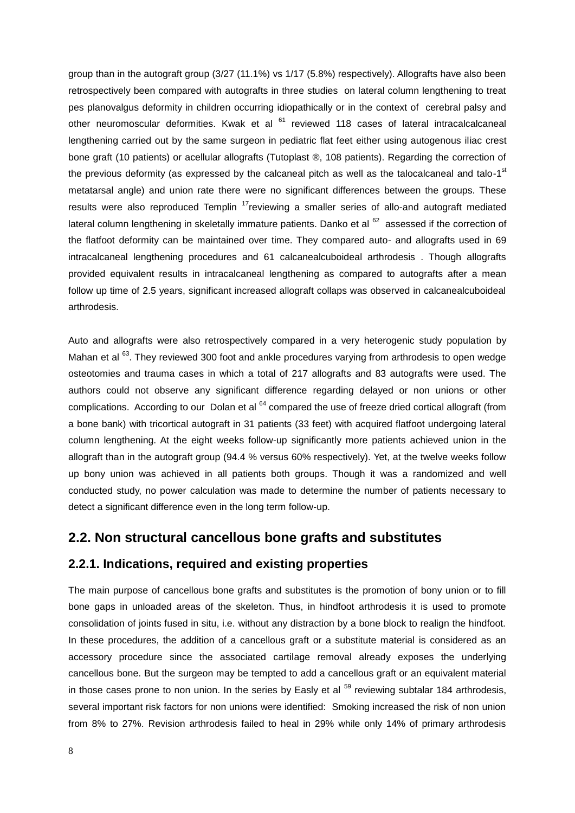group than in the autograft group (3/27 (11.1%) vs 1/17 (5.8%) respectively). Allografts have also been retrospectively been compared with autografts in three studies on lateral column lengthening to treat pes planovalgus deformity in children occurring idiopathically or in the context of cerebral palsy and other neuromoscular deformities. Kwak et al <sup>61</sup> reviewed 118 cases of lateral intracalcalcaneal lengthening carried out by the same surgeon in pediatric flat feet either using autogenous iliac crest bone graft (10 patients) or acellular allografts (Tutoplast ®, 108 patients). Regarding the correction of the previous deformity (as expressed by the calcaneal pitch as well as the talocalcaneal and talo-1<sup>st</sup> metatarsal angle) and union rate there were no significant differences between the groups. These results were also reproduced Templin  $17$ reviewing a smaller series of allo-and autograft mediated lateral column lengthening in skeletally immature patients. Danko et al <sup>62</sup> assessed if the correction of the flatfoot deformity can be maintained over time. They compared auto- and allografts used in 69 intracalcaneal lengthening procedures and 61 calcanealcuboideal arthrodesis . Though allografts provided equivalent results in intracalcaneal lengthening as compared to autografts after a mean follow up time of 2.5 years, significant increased allograft collaps was observed in calcanealcuboideal arthrodesis.

Auto and allografts were also retrospectively compared in a very heterogenic study population by Mahan et al <sup>63</sup>. They reviewed 300 foot and ankle procedures varying from arthrodesis to open wedge osteotomies and trauma cases in which a total of 217 allografts and 83 autografts were used. The authors could not observe any significant difference regarding delayed or non unions or other complications. According to our Dolan et al <sup>64</sup> compared the use of freeze dried cortical allograft (from a bone bank) with tricortical autograft in 31 patients (33 feet) with acquired flatfoot undergoing lateral column lengthening. At the eight weeks follow-up significantly more patients achieved union in the allograft than in the autograft group (94.4 % versus 60% respectively). Yet, at the twelve weeks follow up bony union was achieved in all patients both groups. Though it was a randomized and well conducted study, no power calculation was made to determine the number of patients necessary to detect a significant difference even in the long term follow-up.

### **2.2. Non structural cancellous bone grafts and substitutes**

#### **2.2.1. Indications, required and existing properties**

The main purpose of cancellous bone grafts and substitutes is the promotion of bony union or to fill bone gaps in unloaded areas of the skeleton. Thus, in hindfoot arthrodesis it is used to promote consolidation of joints fused in situ, i.e. without any distraction by a bone block to realign the hindfoot. In these procedures, the addition of a cancellous graft or a substitute material is considered as an accessory procedure since the associated cartilage removal already exposes the underlying cancellous bone. But the surgeon may be tempted to add a cancellous graft or an equivalent material in those cases prone to non union. In the series by Easly et al <sup>59</sup> reviewing subtalar 184 arthrodesis, several important risk factors for non unions were identified: Smoking increased the risk of non union from 8% to 27%. Revision arthrodesis failed to heal in 29% while only 14% of primary arthrodesis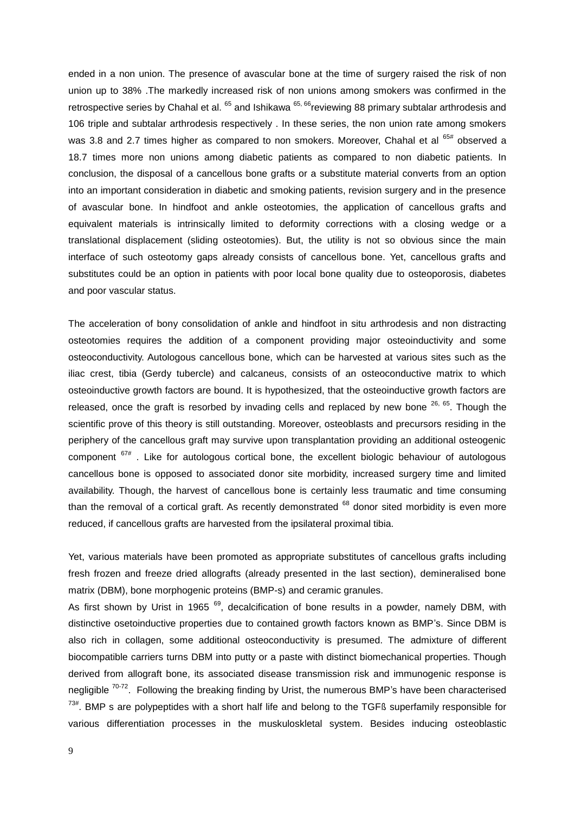ended in a non union. The presence of avascular bone at the time of surgery raised the risk of non union up to 38% .The markedly increased risk of non unions among smokers was confirmed in the retrospective series by Chahal et al.  $^{65}$  and Ishikawa  $^{65, 66}$ reviewing 88 primary subtalar arthrodesis and 106 triple and subtalar arthrodesis respectively . In these series, the non union rate among smokers was 3.8 and 2.7 times higher as compared to non smokers. Moreover, Chahal et al  $65#$  observed a 18.7 times more non unions among diabetic patients as compared to non diabetic patients. In conclusion, the disposal of a cancellous bone grafts or a substitute material converts from an option into an important consideration in diabetic and smoking patients, revision surgery and in the presence of avascular bone. In hindfoot and ankle osteotomies, the application of cancellous grafts and equivalent materials is intrinsically limited to deformity corrections with a closing wedge or a translational displacement (sliding osteotomies). But, the utility is not so obvious since the main interface of such osteotomy gaps already consists of cancellous bone. Yet, cancellous grafts and substitutes could be an option in patients with poor local bone quality due to osteoporosis, diabetes and poor vascular status.

The acceleration of bony consolidation of ankle and hindfoot in situ arthrodesis and non distracting osteotomies requires the addition of a component providing major osteoinductivity and some osteoconductivity. Autologous cancellous bone, which can be harvested at various sites such as the iliac crest, tibia (Gerdy tubercle) and calcaneus, consists of an osteoconductive matrix to which osteoinductive growth factors are bound. It is hypothesized, that the osteoinductive growth factors are released, once the graft is resorbed by invading cells and replaced by new bone  $26, 65$ . Though the scientific prove of this theory is still outstanding. Moreover, osteoblasts and precursors residing in the periphery of the cancellous graft may survive upon transplantation providing an additional osteogenic component  $67#$ . Like for autologous cortical bone, the excellent biologic behaviour of autologous cancellous bone is opposed to associated donor site morbidity, increased surgery time and limited availability. Though, the harvest of cancellous bone is certainly less traumatic and time consuming than the removal of a cortical graft. As recently demonstrated  $^{68}$  donor sited morbidity is even more reduced, if cancellous grafts are harvested from the ipsilateral proximal tibia.

Yet, various materials have been promoted as appropriate substitutes of cancellous grafts including fresh frozen and freeze dried allografts (already presented in the last section), demineralised bone matrix (DBM), bone morphogenic proteins (BMP-s) and ceramic granules.

As first shown by Urist in 1965  $<sup>69</sup>$ , decalcification of bone results in a powder, namely DBM, with</sup> distinctive osetoinductive properties due to contained growth factors known as BMP's. Since DBM is also rich in collagen, some additional osteoconductivity is presumed. The admixture of different biocompatible carriers turns DBM into putty or a paste with distinct biomechanical properties. Though derived from allograft bone, its associated disease transmission risk and immunogenic response is negligible  $70-72$ . Following the breaking finding by Urist, the numerous BMP's have been characterised  $73#$ . BMP s are polypeptides with a short half life and belong to the TGFß superfamily responsible for various differentiation processes in the muskuloskletal system. Besides inducing osteoblastic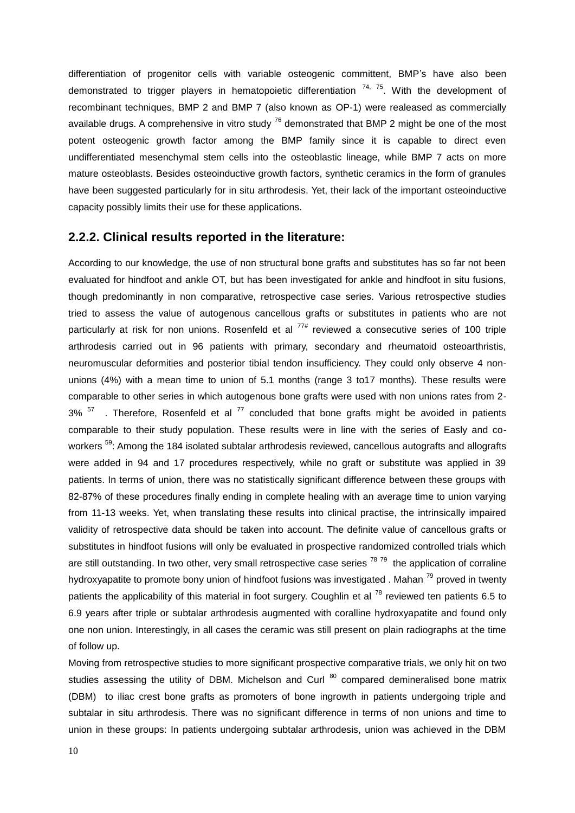differentiation of progenitor cells with variable osteogenic committent, BMP's have also been demonstrated to trigger players in hematopoietic differentiation  $74, 75$ . With the development of recombinant techniques, BMP 2 and BMP 7 (also known as OP-1) were realeased as commercially available drugs. A comprehensive in vitro study  $^{76}$  demonstrated that BMP 2 might be one of the most potent osteogenic growth factor among the BMP family since it is capable to direct even undifferentiated mesenchymal stem cells into the osteoblastic lineage, while BMP 7 acts on more mature osteoblasts. Besides osteoinductive growth factors, synthetic ceramics in the form of granules have been suggested particularly for in situ arthrodesis. Yet, their lack of the important osteoinductive capacity possibly limits their use for these applications.

#### **2.2.2. Clinical results reported in the literature:**

According to our knowledge, the use of non structural bone grafts and substitutes has so far not been evaluated for hindfoot and ankle OT, but has been investigated for ankle and hindfoot in situ fusions, though predominantly in non comparative, retrospective case series. Various retrospective studies tried to assess the value of autogenous cancellous grafts or substitutes in patients who are not particularly at risk for non unions. Rosenfeld et al  $77#$  reviewed a consecutive series of 100 triple arthrodesis carried out in 96 patients with primary, secondary and rheumatoid osteoarthristis, neuromuscular deformities and posterior tibial tendon insufficiency. They could only observe 4 nonunions (4%) with a mean time to union of 5.1 months (range 3 to17 months). These results were comparable to other series in which autogenous bone grafts were used with non unions rates from 2- 3%  $57$  . Therefore, Rosenfeld et al  $77$  concluded that bone grafts might be avoided in patients comparable to their study population. These results were in line with the series of Easly and coworkers <sup>59</sup>: Among the 184 isolated subtalar arthrodesis reviewed, cancellous autografts and allografts were added in 94 and 17 procedures respectively, while no graft or substitute was applied in 39 patients. In terms of union, there was no statistically significant difference between these groups with 82-87% of these procedures finally ending in complete healing with an average time to union varying from 11-13 weeks. Yet, when translating these results into clinical practise, the intrinsically impaired validity of retrospective data should be taken into account. The definite value of cancellous grafts or substitutes in hindfoot fusions will only be evaluated in prospective randomized controlled trials which are still outstanding. In two other, very small retrospective case series <sup>78 79</sup> the application of corraline hydroxyapatite to promote bony union of hindfoot fusions was investigated . Mahan  $^{79}$  proved in twenty patients the applicability of this material in foot surgery. Coughlin et al <sup>78</sup> reviewed ten patients 6.5 to 6.9 years after triple or subtalar arthrodesis augmented with coralline hydroxyapatite and found only one non union. Interestingly, in all cases the ceramic was still present on plain radiographs at the time of follow up.

Moving from retrospective studies to more significant prospective comparative trials, we only hit on two studies assessing the utility of DBM. Michelson and Curl  $80$  compared demineralised bone matrix (DBM) to iliac crest bone grafts as promoters of bone ingrowth in patients undergoing triple and subtalar in situ arthrodesis. There was no significant difference in terms of non unions and time to union in these groups: In patients undergoing subtalar arthrodesis, union was achieved in the DBM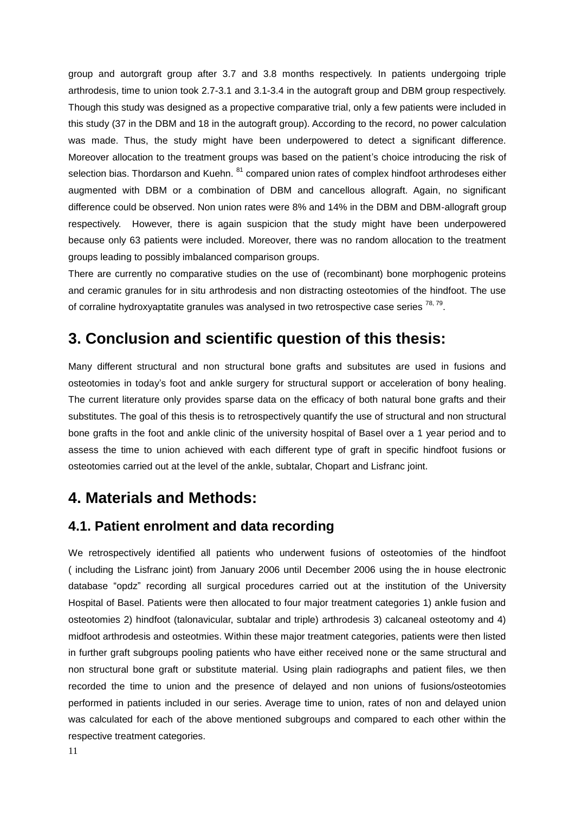group and autorgraft group after 3.7 and 3.8 months respectively. In patients undergoing triple arthrodesis, time to union took 2.7-3.1 and 3.1-3.4 in the autograft group and DBM group respectively. Though this study was designed as a propective comparative trial, only a few patients were included in this study (37 in the DBM and 18 in the autograft group). According to the record, no power calculation was made. Thus, the study might have been underpowered to detect a significant difference. Moreover allocation to the treatment groups was based on the patient's choice introducing the risk of selection bias. Thordarson and Kuehn. <sup>81</sup> compared union rates of complex hindfoot arthrodeses either augmented with DBM or a combination of DBM and cancellous allograft. Again, no significant difference could be observed. Non union rates were 8% and 14% in the DBM and DBM-allograft group respectively. However, there is again suspicion that the study might have been underpowered because only 63 patients were included. Moreover, there was no random allocation to the treatment groups leading to possibly imbalanced comparison groups.

There are currently no comparative studies on the use of (recombinant) bone morphogenic proteins and ceramic granules for in situ arthrodesis and non distracting osteotomies of the hindfoot. The use of corraline hydroxyaptatite granules was analysed in two retrospective case series  $^{78, 79}$ .

## **3. Conclusion and scientific question of this thesis:**

Many different structural and non structural bone grafts and subsitutes are used in fusions and osteotomies in today's foot and ankle surgery for structural support or acceleration of bony healing. The current literature only provides sparse data on the efficacy of both natural bone grafts and their substitutes. The goal of this thesis is to retrospectively quantify the use of structural and non structural bone grafts in the foot and ankle clinic of the university hospital of Basel over a 1 year period and to assess the time to union achieved with each different type of graft in specific hindfoot fusions or osteotomies carried out at the level of the ankle, subtalar, Chopart and Lisfranc joint.

## **4. Materials and Methods:**

## **4.1. Patient enrolment and data recording**

We retrospectively identified all patients who underwent fusions of osteotomies of the hindfoot ( including the Lisfranc joint) from January 2006 until December 2006 using the in house electronic database "opdz" recording all surgical procedures carried out at the institution of the University Hospital of Basel. Patients were then allocated to four major treatment categories 1) ankle fusion and osteotomies 2) hindfoot (talonavicular, subtalar and triple) arthrodesis 3) calcaneal osteotomy and 4) midfoot arthrodesis and osteotmies. Within these major treatment categories, patients were then listed in further graft subgroups pooling patients who have either received none or the same structural and non structural bone graft or substitute material. Using plain radiographs and patient files, we then recorded the time to union and the presence of delayed and non unions of fusions/osteotomies performed in patients included in our series. Average time to union, rates of non and delayed union was calculated for each of the above mentioned subgroups and compared to each other within the respective treatment categories.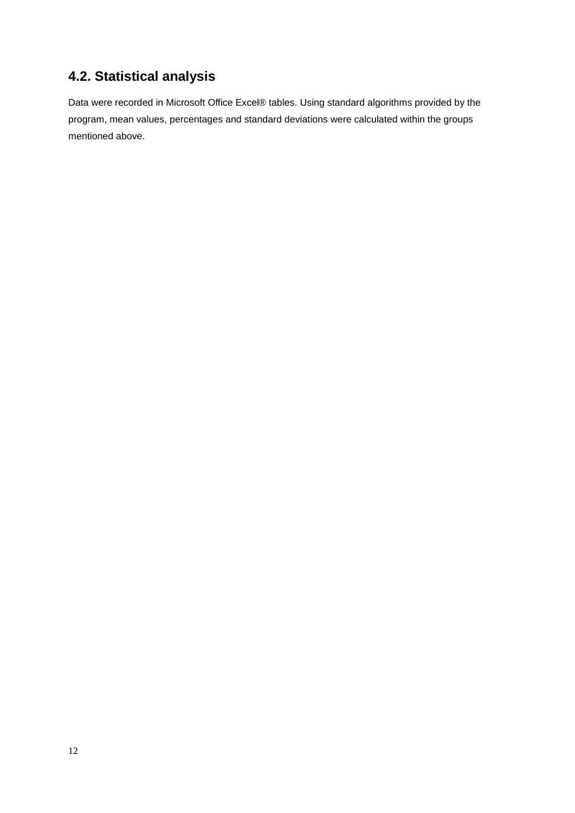# **4.2. Statistical analysis**

Data were recorded in Microsoft Office Excel® tables. Using standard algorithms provided by the program, mean values, percentages and standard deviations were calculated within the groups mentioned above.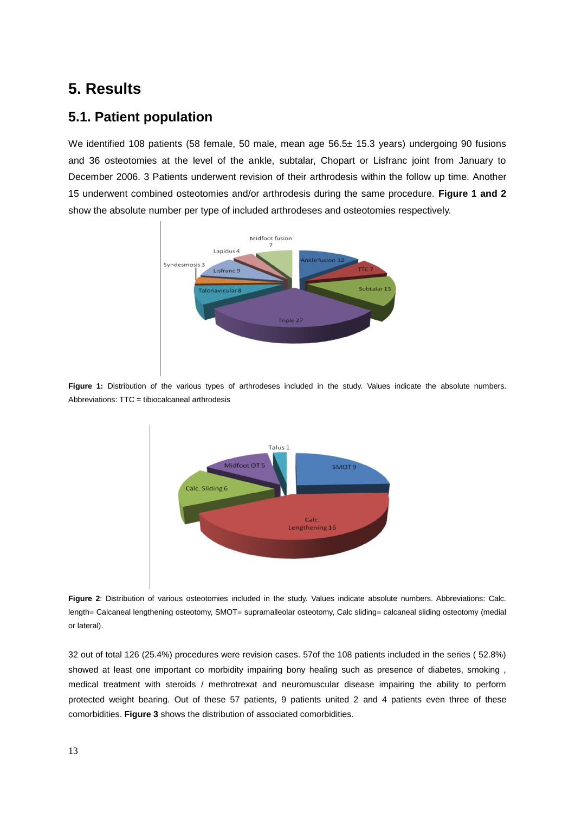## **5. Results**

## **5.1. Patient population**

We identified 108 patients (58 female, 50 male, mean age 56.5± 15.3 years) undergoing 90 fusions and 36 osteotomies at the level of the ankle, subtalar, Chopart or Lisfranc joint from January to December 2006. 3 Patients underwent revision of their arthrodesis within the follow up time. Another 15 underwent combined osteotomies and/or arthrodesis during the same procedure. **Figure 1 and 2** show the absolute number per type of included arthrodeses and osteotomies respectively.



Figure 1: Distribution of the various types of arthrodeses included in the study. Values indicate the absolute numbers. Abbreviations: TTC = tibiocalcaneal arthrodesis



**Figure 2**: Distribution of various osteotomies included in the study. Values indicate absolute numbers. Abbreviations: Calc. length= Calcaneal lengthening osteotomy, SMOT= supramalleolar osteotomy, Calc sliding= calcaneal sliding osteotomy (medial or lateral).

32 out of total 126 (25.4%) procedures were revision cases. 57of the 108 patients included in the series ( 52.8%) showed at least one important co morbidity impairing bony healing such as presence of diabetes, smoking , medical treatment with steroids / methrotrexat and neuromuscular disease impairing the ability to perform protected weight bearing. Out of these 57 patients, 9 patients united 2 and 4 patients even three of these comorbidities. **Figure 3** shows the distribution of associated comorbidities.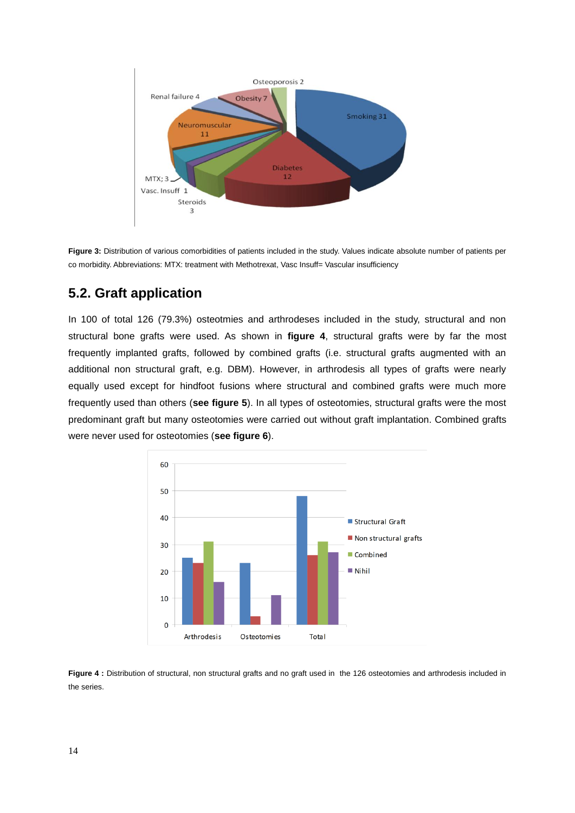

**Figure 3:** Distribution of various comorbidities of patients included in the study. Values indicate absolute number of patients per co morbidity. Abbreviations: MTX: treatment with Methotrexat, Vasc Insuff= Vascular insufficiency

## **5.2. Graft application**

In 100 of total 126 (79.3%) osteotmies and arthrodeses included in the study, structural and non structural bone grafts were used. As shown in **figure 4**, structural grafts were by far the most frequently implanted grafts, followed by combined grafts (i.e. structural grafts augmented with an additional non structural graft, e.g. DBM). However, in arthrodesis all types of grafts were nearly equally used except for hindfoot fusions where structural and combined grafts were much more frequently used than others (**see figure 5**). In all types of osteotomies, structural grafts were the most predominant graft but many osteotomies were carried out without graft implantation. Combined grafts were never used for osteotomies (**see figure 6**).



Figure 4 : Distribution of structural, non structural grafts and no graft used in the 126 osteotomies and arthrodesis included in the series.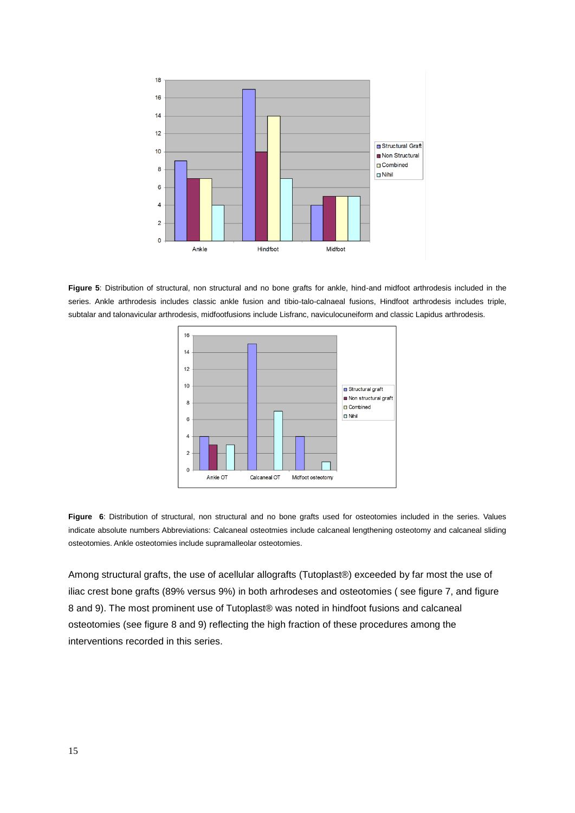

**Figure 5**: Distribution of structural, non structural and no bone grafts for ankle, hind-and midfoot arthrodesis included in the series. Ankle arthrodesis includes classic ankle fusion and tibio-talo-calnaeal fusions, Hindfoot arthrodesis includes triple, subtalar and talonavicular arthrodesis, midfootfusions include Lisfranc, naviculocuneiform and classic Lapidus arthrodesis.



**Figure 6**: Distribution of structural, non structural and no bone grafts used for osteotomies included in the series. Values indicate absolute numbers Abbreviations: Calcaneal osteotmies include calcaneal lengthening osteotomy and calcaneal sliding osteotomies. Ankle osteotomies include supramalleolar osteotomies.

Among structural grafts, the use of acellular allografts (Tutoplast®) exceeded by far most the use of iliac crest bone grafts (89% versus 9%) in both arhrodeses and osteotomies ( see figure 7, and figure 8 and 9). The most prominent use of Tutoplast® was noted in hindfoot fusions and calcaneal osteotomies (see figure 8 and 9) reflecting the high fraction of these procedures among the interventions recorded in this series.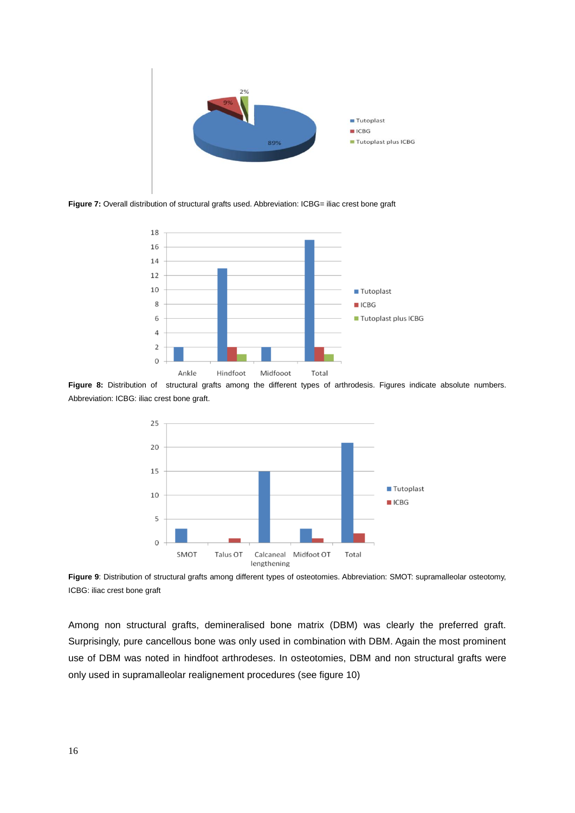

Figure 7: Overall distribution of structural grafts used. Abbreviation: ICBG= iliac crest bone graft



**Figure 8:** Distribution of structural grafts among the different types of arthrodesis. Figures indicate absolute numbers. Abbreviation: ICBG: iliac crest bone graft.



**Figure 9**: Distribution of structural grafts among different types of osteotomies. Abbreviation: SMOT: supramalleolar osteotomy, ICBG: iliac crest bone graft

Among non structural grafts, demineralised bone matrix (DBM) was clearly the preferred graft. Surprisingly, pure cancellous bone was only used in combination with DBM. Again the most prominent use of DBM was noted in hindfoot arthrodeses. In osteotomies, DBM and non structural grafts were only used in supramalleolar realignement procedures (see figure 10)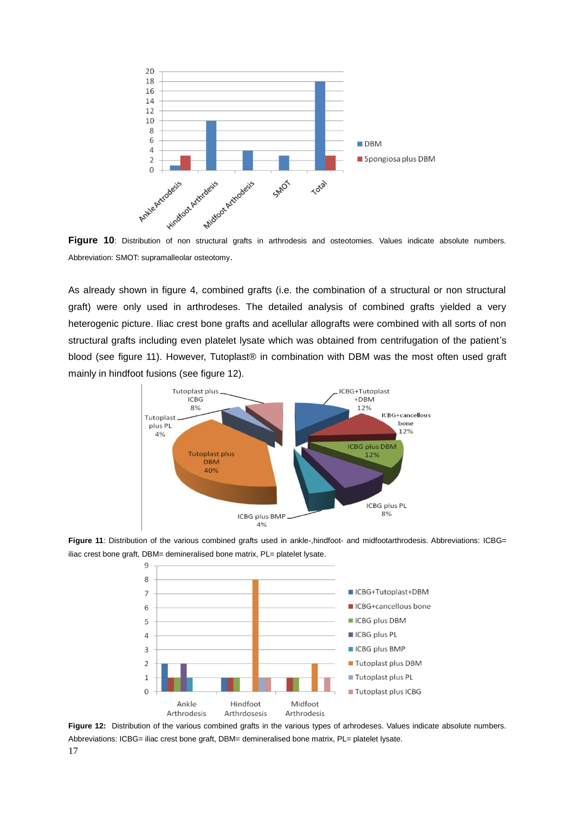

Abbreviation: SMOT: supramalleolar osteotomy.

As already shown in figure 4, combined grafts (i.e. the combination of a structural or non structural graft) were only used in arthrodeses. The detailed analysis of combined grafts yielded a very heterogenic picture. Iliac crest bone grafts and acellular allografts were combined with all sorts of non structural grafts including even platelet lysate which was obtained from centrifugation of the patient's blood (see figure 11). However, Tutoplast® in combination with DBM was the most often used graft mainly in hindfoot fusions (see figure 12).



Figure 11: Distribution of the various combined grafts used in ankle-,hindfoot- and midfootarthrodesis. Abbreviations: ICBG= iliac crest bone graft, DBM= demineralised bone matrix, PL= platelet lysate.



**Figure 12:** Distribution of the various combined grafts in the various types of arhrodeses. Values indicate absolute numbers. Abbreviations: ICBG= iliac crest bone graft, DBM= demineralised bone matrix, PL= platelet lysate.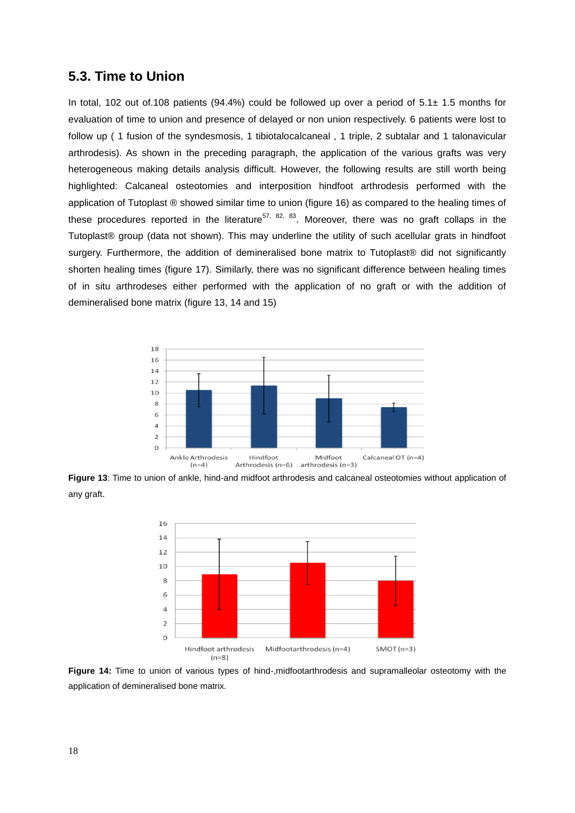### **5.3. Time to Union**

In total, 102 out of.108 patients (94.4%) could be followed up over a period of 5.1± 1.5 months for evaluation of time to union and presence of delayed or non union respectively. 6 patients were lost to follow up ( 1 fusion of the syndesmosis, 1 tibiotalocalcaneal , 1 triple, 2 subtalar and 1 talonavicular arthrodesis). As shown in the preceding paragraph, the application of the various grafts was very heterogeneous making details analysis difficult. However, the following results are still worth being highlighted: Calcaneal osteotomies and interposition hindfoot arthrodesis performed with the application of Tutoplast ® showed similar time to union (figure 16) as compared to the healing times of these procedures reported in the literature<sup>57, 82, 83</sup>. Moreover, there was no graft collaps in the Tutoplast® group (data not shown). This may underline the utility of such acellular grats in hindfoot surgery. Furthermore, the addition of demineralised bone matrix to Tutoplast® did not significantly shorten healing times (figure 17). Similarly, there was no significant difference between healing times of in situ arthrodeses either performed with the application of no graft or with the addition of demineralised bone matrix (figure 13, 14 and 15)



**Figure 13**: Time to union of ankle, hind-and midfoot arthrodesis and calcaneal osteotomies without application of any graft.



**Figure 14:** Time to union of various types of hind-,midfootarthrodesis and supramalleolar osteotomy with the application of demineralised bone matrix.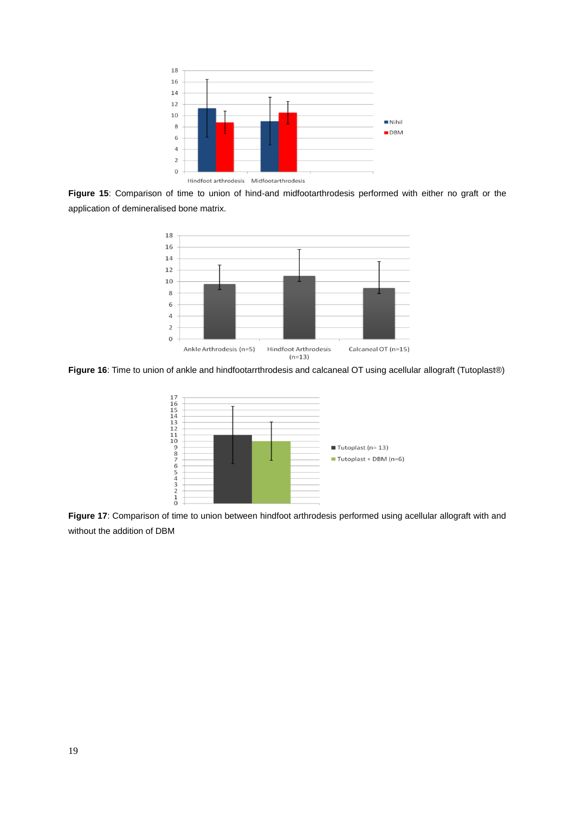

**Figure 15**: Comparison of time to union of hind-and midfootarthrodesis performed with either no graft or the application of demineralised bone matrix.



**Figure 16**: Time to union of ankle and hindfootarrthrodesis and calcaneal OT using acellular allograft (Tutoplast®)



**Figure 17**: Comparison of time to union between hindfoot arthrodesis performed using acellular allograft with and without the addition of DBM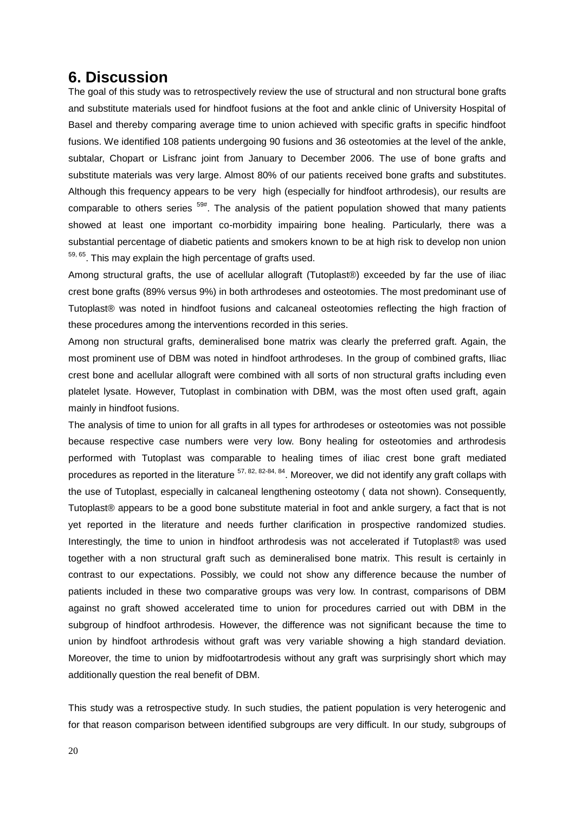## **6. Discussion**

The goal of this study was to retrospectively review the use of structural and non structural bone grafts and substitute materials used for hindfoot fusions at the foot and ankle clinic of University Hospital of Basel and thereby comparing average time to union achieved with specific grafts in specific hindfoot fusions. We identified 108 patients undergoing 90 fusions and 36 osteotomies at the level of the ankle, subtalar, Chopart or Lisfranc joint from January to December 2006. The use of bone grafts and substitute materials was very large. Almost 80% of our patients received bone grafts and substitutes. Although this frequency appears to be very high (especially for hindfoot arthrodesis), our results are comparable to others series  $59#$ . The analysis of the patient population showed that many patients showed at least one important co-morbidity impairing bone healing. Particularly, there was a substantial percentage of diabetic patients and smokers known to be at high risk to develop non union  $59, 65$ . This may explain the high percentage of grafts used.

Among structural grafts, the use of acellular allograft (Tutoplast®) exceeded by far the use of iliac crest bone grafts (89% versus 9%) in both arthrodeses and osteotomies. The most predominant use of Tutoplast® was noted in hindfoot fusions and calcaneal osteotomies reflecting the high fraction of these procedures among the interventions recorded in this series.

Among non structural grafts, demineralised bone matrix was clearly the preferred graft. Again, the most prominent use of DBM was noted in hindfoot arthrodeses. In the group of combined grafts, Iliac crest bone and acellular allograft were combined with all sorts of non structural grafts including even platelet lysate. However, Tutoplast in combination with DBM, was the most often used graft, again mainly in hindfoot fusions.

The analysis of time to union for all grafts in all types for arthrodeses or osteotomies was not possible because respective case numbers were very low. Bony healing for osteotomies and arthrodesis performed with Tutoplast was comparable to healing times of iliac crest bone graft mediated procedures as reported in the literature <sup>57, 82, 82-84, 84</sup>. Moreover, we did not identify any graft collaps with the use of Tutoplast, especially in calcaneal lengthening osteotomy ( data not shown). Consequently, Tutoplast® appears to be a good bone substitute material in foot and ankle surgery, a fact that is not yet reported in the literature and needs further clarification in prospective randomized studies. Interestingly, the time to union in hindfoot arthrodesis was not accelerated if Tutoplast® was used together with a non structural graft such as demineralised bone matrix. This result is certainly in contrast to our expectations. Possibly, we could not show any difference because the number of patients included in these two comparative groups was very low. In contrast, comparisons of DBM against no graft showed accelerated time to union for procedures carried out with DBM in the subgroup of hindfoot arthrodesis. However, the difference was not significant because the time to union by hindfoot arthrodesis without graft was very variable showing a high standard deviation. Moreover, the time to union by midfootartrodesis without any graft was surprisingly short which may additionally question the real benefit of DBM.

This study was a retrospective study. In such studies, the patient population is very heterogenic and for that reason comparison between identified subgroups are very difficult. In our study, subgroups of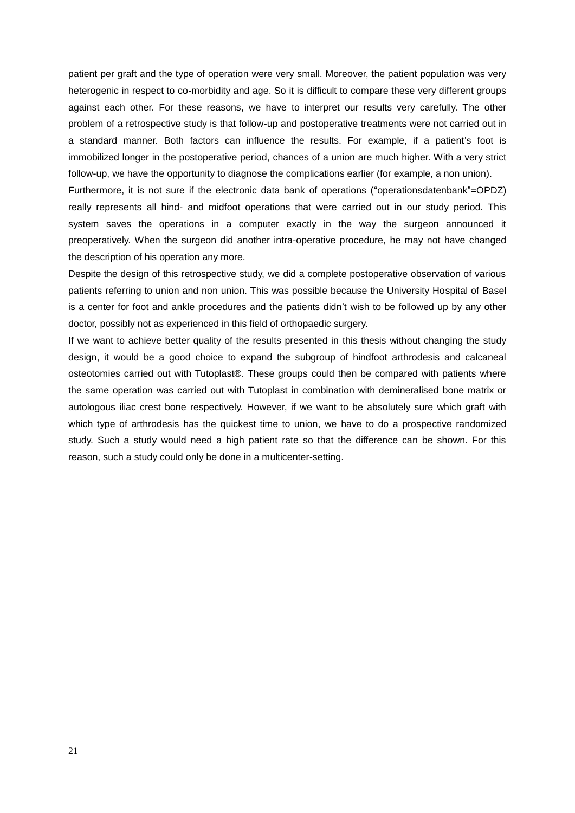patient per graft and the type of operation were very small. Moreover, the patient population was very heterogenic in respect to co-morbidity and age. So it is difficult to compare these very different groups against each other. For these reasons, we have to interpret our results very carefully. The other problem of a retrospective study is that follow-up and postoperative treatments were not carried out in a standard manner. Both factors can influence the results. For example, if a patient's foot is immobilized longer in the postoperative period, chances of a union are much higher. With a very strict follow-up, we have the opportunity to diagnose the complications earlier (for example, a non union).

Furthermore, it is not sure if the electronic data bank of operations ("operationsdatenbank"=OPDZ) really represents all hind- and midfoot operations that were carried out in our study period. This system saves the operations in a computer exactly in the way the surgeon announced it preoperatively. When the surgeon did another intra-operative procedure, he may not have changed the description of his operation any more.

Despite the design of this retrospective study, we did a complete postoperative observation of various patients referring to union and non union. This was possible because the University Hospital of Basel is a center for foot and ankle procedures and the patients didn't wish to be followed up by any other doctor, possibly not as experienced in this field of orthopaedic surgery.

If we want to achieve better quality of the results presented in this thesis without changing the study design, it would be a good choice to expand the subgroup of hindfoot arthrodesis and calcaneal osteotomies carried out with Tutoplast®. These groups could then be compared with patients where the same operation was carried out with Tutoplast in combination with demineralised bone matrix or autologous iliac crest bone respectively. However, if we want to be absolutely sure which graft with which type of arthrodesis has the quickest time to union, we have to do a prospective randomized study. Such a study would need a high patient rate so that the difference can be shown. For this reason, such a study could only be done in a multicenter-setting.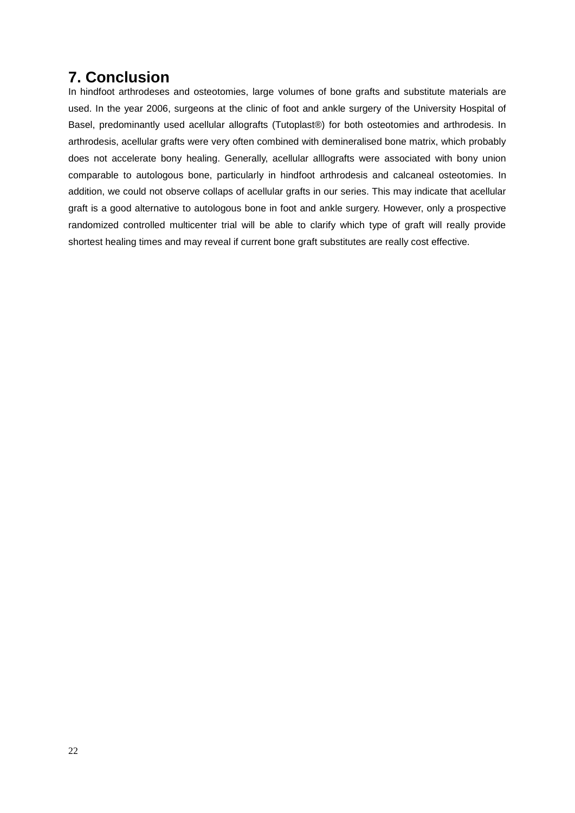# **7. Conclusion**

In hindfoot arthrodeses and osteotomies, large volumes of bone grafts and substitute materials are used. In the year 2006, surgeons at the clinic of foot and ankle surgery of the University Hospital of Basel, predominantly used acellular allografts (Tutoplast®) for both osteotomies and arthrodesis. In arthrodesis, acellular grafts were very often combined with demineralised bone matrix, which probably does not accelerate bony healing. Generally, acellular alllografts were associated with bony union comparable to autologous bone, particularly in hindfoot arthrodesis and calcaneal osteotomies. In addition, we could not observe collaps of acellular grafts in our series. This may indicate that acellular graft is a good alternative to autologous bone in foot and ankle surgery. However, only a prospective randomized controlled multicenter trial will be able to clarify which type of graft will really provide shortest healing times and may reveal if current bone graft substitutes are really cost effective.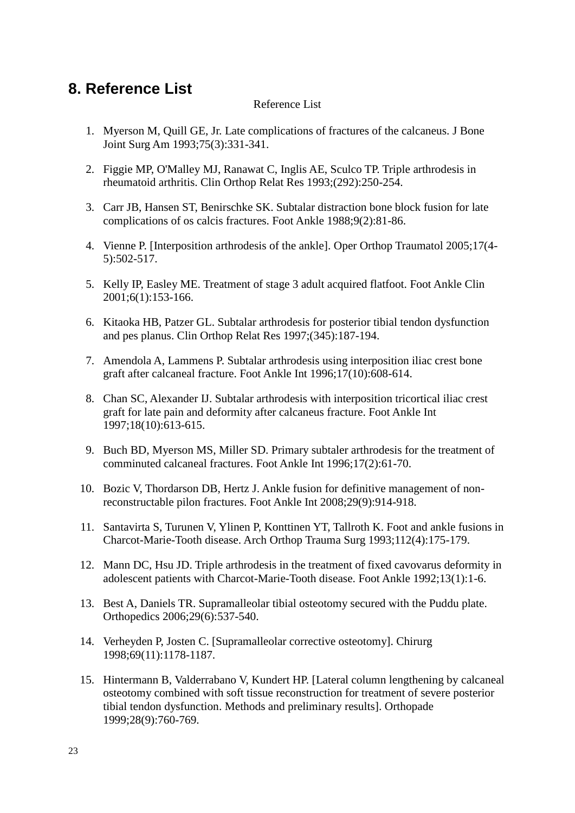# **8. Reference List**

### Reference List

- 1. Myerson M, Quill GE, Jr. Late complications of fractures of the calcaneus. J Bone Joint Surg Am 1993;75(3):331-341.
- 2. Figgie MP, O'Malley MJ, Ranawat C, Inglis AE, Sculco TP. Triple arthrodesis in rheumatoid arthritis. Clin Orthop Relat Res 1993;(292):250-254.
- 3. Carr JB, Hansen ST, Benirschke SK. Subtalar distraction bone block fusion for late complications of os calcis fractures. Foot Ankle 1988;9(2):81-86.
- 4. Vienne P. [Interposition arthrodesis of the ankle]. Oper Orthop Traumatol 2005;17(4- 5):502-517.
- 5. Kelly IP, Easley ME. Treatment of stage 3 adult acquired flatfoot. Foot Ankle Clin 2001;6(1):153-166.
- 6. Kitaoka HB, Patzer GL. Subtalar arthrodesis for posterior tibial tendon dysfunction and pes planus. Clin Orthop Relat Res 1997;(345):187-194.
- 7. Amendola A, Lammens P. Subtalar arthrodesis using interposition iliac crest bone graft after calcaneal fracture. Foot Ankle Int 1996;17(10):608-614.
- 8. Chan SC, Alexander IJ. Subtalar arthrodesis with interposition tricortical iliac crest graft for late pain and deformity after calcaneus fracture. Foot Ankle Int 1997;18(10):613-615.
- 9. Buch BD, Myerson MS, Miller SD. Primary subtaler arthrodesis for the treatment of comminuted calcaneal fractures. Foot Ankle Int 1996;17(2):61-70.
- 10. Bozic V, Thordarson DB, Hertz J. Ankle fusion for definitive management of nonreconstructable pilon fractures. Foot Ankle Int 2008;29(9):914-918.
- 11. Santavirta S, Turunen V, Ylinen P, Konttinen YT, Tallroth K. Foot and ankle fusions in Charcot-Marie-Tooth disease. Arch Orthop Trauma Surg 1993;112(4):175-179.
- 12. Mann DC, Hsu JD. Triple arthrodesis in the treatment of fixed cavovarus deformity in adolescent patients with Charcot-Marie-Tooth disease. Foot Ankle 1992;13(1):1-6.
- 13. Best A, Daniels TR. Supramalleolar tibial osteotomy secured with the Puddu plate. Orthopedics 2006;29(6):537-540.
- 14. Verheyden P, Josten C. [Supramalleolar corrective osteotomy]. Chirurg 1998;69(11):1178-1187.
- 15. Hintermann B, Valderrabano V, Kundert HP. [Lateral column lengthening by calcaneal osteotomy combined with soft tissue reconstruction for treatment of severe posterior tibial tendon dysfunction. Methods and preliminary results]. Orthopade 1999;28(9):760-769.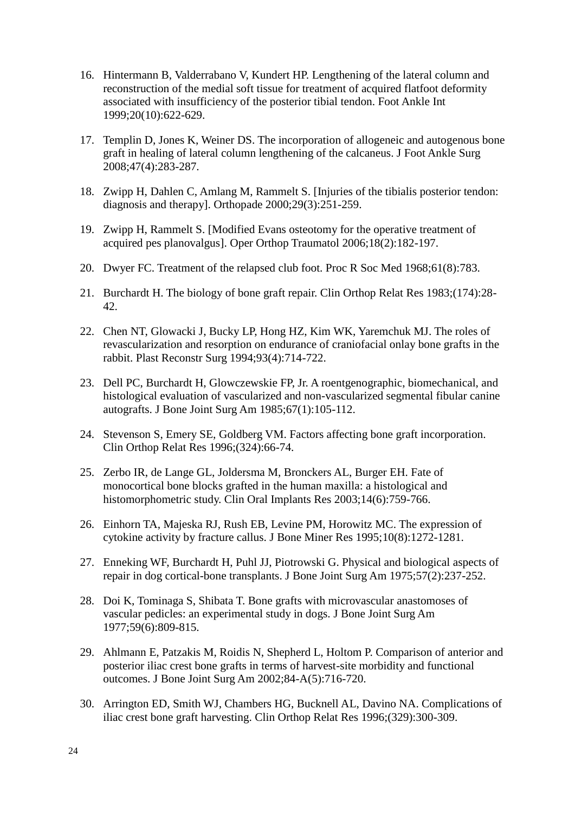- 16. Hintermann B, Valderrabano V, Kundert HP. Lengthening of the lateral column and reconstruction of the medial soft tissue for treatment of acquired flatfoot deformity associated with insufficiency of the posterior tibial tendon. Foot Ankle Int 1999;20(10):622-629.
- 17. Templin D, Jones K, Weiner DS. The incorporation of allogeneic and autogenous bone graft in healing of lateral column lengthening of the calcaneus. J Foot Ankle Surg 2008;47(4):283-287.
- 18. Zwipp H, Dahlen C, Amlang M, Rammelt S. [Injuries of the tibialis posterior tendon: diagnosis and therapy]. Orthopade 2000;29(3):251-259.
- 19. Zwipp H, Rammelt S. [Modified Evans osteotomy for the operative treatment of acquired pes planovalgus]. Oper Orthop Traumatol 2006;18(2):182-197.
- 20. Dwyer FC. Treatment of the relapsed club foot. Proc R Soc Med 1968;61(8):783.
- 21. Burchardt H. The biology of bone graft repair. Clin Orthop Relat Res 1983;(174):28- 42.
- 22. Chen NT, Glowacki J, Bucky LP, Hong HZ, Kim WK, Yaremchuk MJ. The roles of revascularization and resorption on endurance of craniofacial onlay bone grafts in the rabbit. Plast Reconstr Surg 1994;93(4):714-722.
- 23. Dell PC, Burchardt H, Glowczewskie FP, Jr. A roentgenographic, biomechanical, and histological evaluation of vascularized and non-vascularized segmental fibular canine autografts. J Bone Joint Surg Am 1985;67(1):105-112.
- 24. Stevenson S, Emery SE, Goldberg VM. Factors affecting bone graft incorporation. Clin Orthop Relat Res 1996;(324):66-74.
- 25. Zerbo IR, de Lange GL, Joldersma M, Bronckers AL, Burger EH. Fate of monocortical bone blocks grafted in the human maxilla: a histological and histomorphometric study. Clin Oral Implants Res 2003;14(6):759-766.
- 26. Einhorn TA, Majeska RJ, Rush EB, Levine PM, Horowitz MC. The expression of cytokine activity by fracture callus. J Bone Miner Res 1995;10(8):1272-1281.
- 27. Enneking WF, Burchardt H, Puhl JJ, Piotrowski G. Physical and biological aspects of repair in dog cortical-bone transplants. J Bone Joint Surg Am 1975;57(2):237-252.
- 28. Doi K, Tominaga S, Shibata T. Bone grafts with microvascular anastomoses of vascular pedicles: an experimental study in dogs. J Bone Joint Surg Am 1977;59(6):809-815.
- 29. Ahlmann E, Patzakis M, Roidis N, Shepherd L, Holtom P. Comparison of anterior and posterior iliac crest bone grafts in terms of harvest-site morbidity and functional outcomes. J Bone Joint Surg Am 2002;84-A(5):716-720.
- 30. Arrington ED, Smith WJ, Chambers HG, Bucknell AL, Davino NA. Complications of iliac crest bone graft harvesting. Clin Orthop Relat Res 1996;(329):300-309.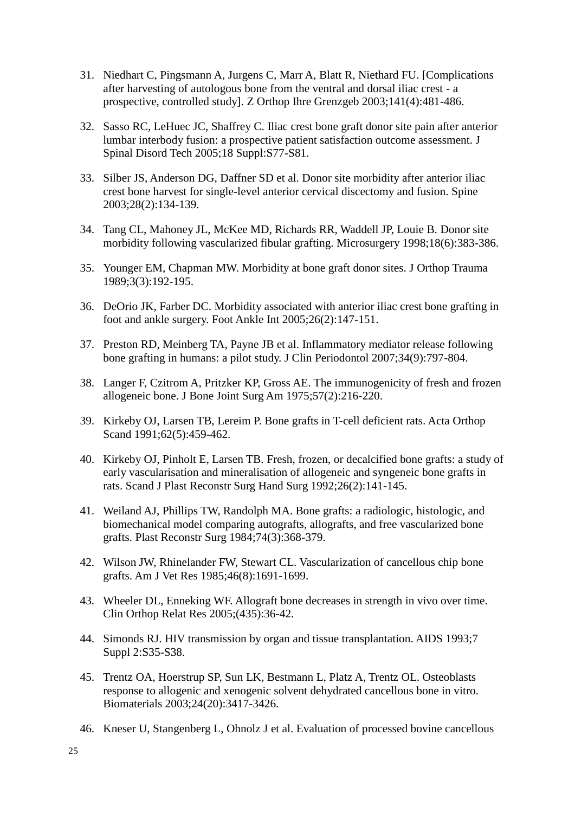- 31. Niedhart C, Pingsmann A, Jurgens C, Marr A, Blatt R, Niethard FU. [Complications after harvesting of autologous bone from the ventral and dorsal iliac crest - a prospective, controlled study]. Z Orthop Ihre Grenzgeb 2003;141(4):481-486.
- 32. Sasso RC, LeHuec JC, Shaffrey C. Iliac crest bone graft donor site pain after anterior lumbar interbody fusion: a prospective patient satisfaction outcome assessment. J Spinal Disord Tech 2005;18 Suppl:S77-S81.
- 33. Silber JS, Anderson DG, Daffner SD et al. Donor site morbidity after anterior iliac crest bone harvest for single-level anterior cervical discectomy and fusion. Spine 2003;28(2):134-139.
- 34. Tang CL, Mahoney JL, McKee MD, Richards RR, Waddell JP, Louie B. Donor site morbidity following vascularized fibular grafting. Microsurgery 1998;18(6):383-386.
- 35. Younger EM, Chapman MW. Morbidity at bone graft donor sites. J Orthop Trauma 1989;3(3):192-195.
- 36. DeOrio JK, Farber DC. Morbidity associated with anterior iliac crest bone grafting in foot and ankle surgery. Foot Ankle Int 2005;26(2):147-151.
- 37. Preston RD, Meinberg TA, Payne JB et al. Inflammatory mediator release following bone grafting in humans: a pilot study. J Clin Periodontol 2007;34(9):797-804.
- 38. Langer F, Czitrom A, Pritzker KP, Gross AE. The immunogenicity of fresh and frozen allogeneic bone. J Bone Joint Surg Am 1975;57(2):216-220.
- 39. Kirkeby OJ, Larsen TB, Lereim P. Bone grafts in T-cell deficient rats. Acta Orthop Scand 1991;62(5):459-462.
- 40. Kirkeby OJ, Pinholt E, Larsen TB. Fresh, frozen, or decalcified bone grafts: a study of early vascularisation and mineralisation of allogeneic and syngeneic bone grafts in rats. Scand J Plast Reconstr Surg Hand Surg 1992;26(2):141-145.
- 41. Weiland AJ, Phillips TW, Randolph MA. Bone grafts: a radiologic, histologic, and biomechanical model comparing autografts, allografts, and free vascularized bone grafts. Plast Reconstr Surg 1984;74(3):368-379.
- 42. Wilson JW, Rhinelander FW, Stewart CL. Vascularization of cancellous chip bone grafts. Am J Vet Res 1985;46(8):1691-1699.
- 43. Wheeler DL, Enneking WF. Allograft bone decreases in strength in vivo over time. Clin Orthop Relat Res 2005;(435):36-42.
- 44. Simonds RJ. HIV transmission by organ and tissue transplantation. AIDS 1993;7 Suppl 2:S35-S38.
- 45. Trentz OA, Hoerstrup SP, Sun LK, Bestmann L, Platz A, Trentz OL. Osteoblasts response to allogenic and xenogenic solvent dehydrated cancellous bone in vitro. Biomaterials 2003;24(20):3417-3426.
- 46. Kneser U, Stangenberg L, Ohnolz J et al. Evaluation of processed bovine cancellous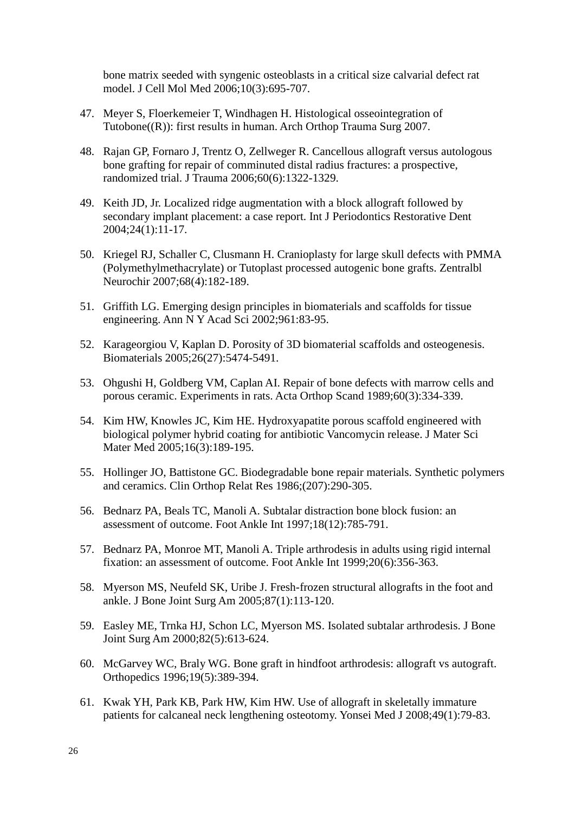bone matrix seeded with syngenic osteoblasts in a critical size calvarial defect rat model. J Cell Mol Med 2006;10(3):695-707.

- 47. Meyer S, Floerkemeier T, Windhagen H. Histological osseointegration of Tutobone((R)): first results in human. Arch Orthop Trauma Surg 2007.
- 48. Rajan GP, Fornaro J, Trentz O, Zellweger R. Cancellous allograft versus autologous bone grafting for repair of comminuted distal radius fractures: a prospective, randomized trial. J Trauma 2006;60(6):1322-1329.
- 49. Keith JD, Jr. Localized ridge augmentation with a block allograft followed by secondary implant placement: a case report. Int J Periodontics Restorative Dent 2004;24(1):11-17.
- 50. Kriegel RJ, Schaller C, Clusmann H. Cranioplasty for large skull defects with PMMA (Polymethylmethacrylate) or Tutoplast processed autogenic bone grafts. Zentralbl Neurochir 2007;68(4):182-189.
- 51. Griffith LG. Emerging design principles in biomaterials and scaffolds for tissue engineering. Ann N Y Acad Sci 2002;961:83-95.
- 52. Karageorgiou V, Kaplan D. Porosity of 3D biomaterial scaffolds and osteogenesis. Biomaterials 2005;26(27):5474-5491.
- 53. Ohgushi H, Goldberg VM, Caplan AI. Repair of bone defects with marrow cells and porous ceramic. Experiments in rats. Acta Orthop Scand 1989;60(3):334-339.
- 54. Kim HW, Knowles JC, Kim HE. Hydroxyapatite porous scaffold engineered with biological polymer hybrid coating for antibiotic Vancomycin release. J Mater Sci Mater Med 2005;16(3):189-195.
- 55. Hollinger JO, Battistone GC. Biodegradable bone repair materials. Synthetic polymers and ceramics. Clin Orthop Relat Res 1986;(207):290-305.
- 56. Bednarz PA, Beals TC, Manoli A. Subtalar distraction bone block fusion: an assessment of outcome. Foot Ankle Int 1997;18(12):785-791.
- 57. Bednarz PA, Monroe MT, Manoli A. Triple arthrodesis in adults using rigid internal fixation: an assessment of outcome. Foot Ankle Int 1999;20(6):356-363.
- 58. Myerson MS, Neufeld SK, Uribe J. Fresh-frozen structural allografts in the foot and ankle. J Bone Joint Surg Am 2005;87(1):113-120.
- 59. Easley ME, Trnka HJ, Schon LC, Myerson MS. Isolated subtalar arthrodesis. J Bone Joint Surg Am 2000;82(5):613-624.
- 60. McGarvey WC, Braly WG. Bone graft in hindfoot arthrodesis: allograft vs autograft. Orthopedics 1996;19(5):389-394.
- 61. Kwak YH, Park KB, Park HW, Kim HW. Use of allograft in skeletally immature patients for calcaneal neck lengthening osteotomy. Yonsei Med J 2008;49(1):79-83.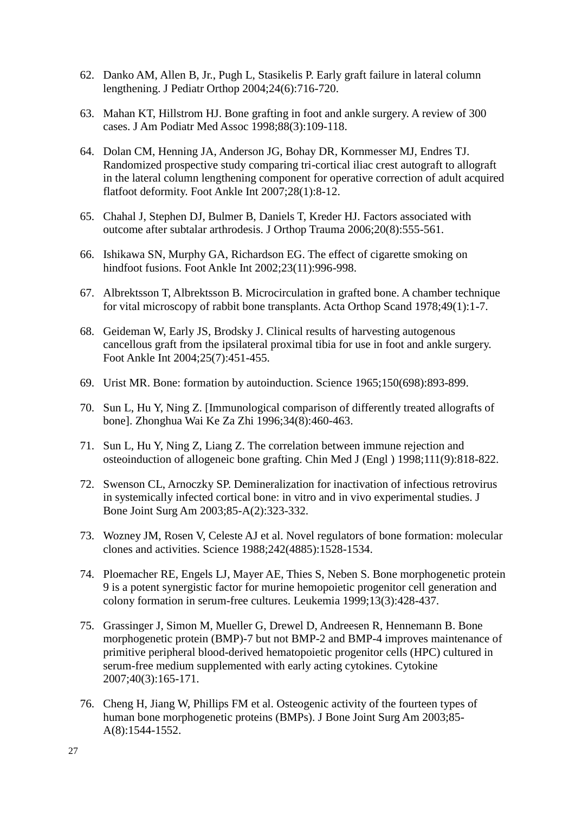- 62. Danko AM, Allen B, Jr., Pugh L, Stasikelis P. Early graft failure in lateral column lengthening. J Pediatr Orthop 2004;24(6):716-720.
- 63. Mahan KT, Hillstrom HJ. Bone grafting in foot and ankle surgery. A review of 300 cases. J Am Podiatr Med Assoc 1998;88(3):109-118.
- 64. Dolan CM, Henning JA, Anderson JG, Bohay DR, Kornmesser MJ, Endres TJ. Randomized prospective study comparing tri-cortical iliac crest autograft to allograft in the lateral column lengthening component for operative correction of adult acquired flatfoot deformity. Foot Ankle Int 2007;28(1):8-12.
- 65. Chahal J, Stephen DJ, Bulmer B, Daniels T, Kreder HJ. Factors associated with outcome after subtalar arthrodesis. J Orthop Trauma 2006;20(8):555-561.
- 66. Ishikawa SN, Murphy GA, Richardson EG. The effect of cigarette smoking on hindfoot fusions. Foot Ankle Int 2002;23(11):996-998.
- 67. Albrektsson T, Albrektsson B. Microcirculation in grafted bone. A chamber technique for vital microscopy of rabbit bone transplants. Acta Orthop Scand 1978;49(1):1-7.
- 68. Geideman W, Early JS, Brodsky J. Clinical results of harvesting autogenous cancellous graft from the ipsilateral proximal tibia for use in foot and ankle surgery. Foot Ankle Int 2004;25(7):451-455.
- 69. Urist MR. Bone: formation by autoinduction. Science 1965;150(698):893-899.
- 70. Sun L, Hu Y, Ning Z. [Immunological comparison of differently treated allografts of bone]. Zhonghua Wai Ke Za Zhi 1996;34(8):460-463.
- 71. Sun L, Hu Y, Ning Z, Liang Z. The correlation between immune rejection and osteoinduction of allogeneic bone grafting. Chin Med J (Engl ) 1998;111(9):818-822.
- 72. Swenson CL, Arnoczky SP. Demineralization for inactivation of infectious retrovirus in systemically infected cortical bone: in vitro and in vivo experimental studies. J Bone Joint Surg Am 2003;85-A(2):323-332.
- 73. Wozney JM, Rosen V, Celeste AJ et al. Novel regulators of bone formation: molecular clones and activities. Science 1988;242(4885):1528-1534.
- 74. Ploemacher RE, Engels LJ, Mayer AE, Thies S, Neben S. Bone morphogenetic protein 9 is a potent synergistic factor for murine hemopoietic progenitor cell generation and colony formation in serum-free cultures. Leukemia 1999;13(3):428-437.
- 75. Grassinger J, Simon M, Mueller G, Drewel D, Andreesen R, Hennemann B. Bone morphogenetic protein (BMP)-7 but not BMP-2 and BMP-4 improves maintenance of primitive peripheral blood-derived hematopoietic progenitor cells (HPC) cultured in serum-free medium supplemented with early acting cytokines. Cytokine 2007;40(3):165-171.
- 76. Cheng H, Jiang W, Phillips FM et al. Osteogenic activity of the fourteen types of human bone morphogenetic proteins (BMPs). J Bone Joint Surg Am 2003;85- A(8):1544-1552.